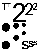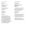Type 2: Structure Fall 2016 Syllabus

## **Welcome!**

Tuesdays, 2–6:50 pm 870 Raymond Room S870-210

Thursdays, 2-6:50 pm 1111 South Arroyo Room 338

Dante Carlos Instructor, Graphic Design

#### **Summary**

Type 2 is the second in the cumulative 4-part typography foundation sequence, and is a rigorous introduction to the fundamentals of typography, with emphasis on the formal aspects of designing with typographic elements, and the responsibilities inherent in working with language.

#### **Assignments**

**Typographic Structures: Album Cover**  Week 1–8

An eight week layout exercise, using only type, and culminating in a printed workbook containing 40 designs.

#### **Type Specimen** Week 9–14

A project to design a poster and booklet about a specific typeface, exploring its history, formal qualities and various uses.

Typographic Structures workbook, and type specimen poster/booklet are due Week 14.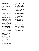**Typography is the way written language looks and works.** It is both aesthetic and functional: typography that is visually engaging invites the viewer or user to read a text, and legible typography allows them to understand what's being communicated.

**Words—and the spaces between words—form the basic units of typography.** With just these two parts alone, a designer or artist has a nearly unlimited range of expression. As a class, we will look at both.

**Typography can perform many functions and have many personalities.** Whether it's a systemic table of data, or a flashy billboard, or an expressive and animated motion piece (and everything inbetween), a designer can use type to add nuance that can help a user navigate a text, or make a piece of communication more distinct.

**In our first assignment, we'll demonstrate how a single typeface can behave in multiple ways.** Each week, we will create typographic compositions for a record cover by manipulating elements of visual design (such as scale, negative space, alignment, order, density, symmetry/asymmetry, and alignments, etc).

By changing these basic parameters, designers can direct the way someone reads a text (heirarchy), or how their eye moves around the typographic space in an interesting way.

All compositions will be complied into a reference book, which will be due at the end of the term.

#### Type 2: Structure Type 2: Structure Fall 2016 Syllabus

**In the second assignment, each of you will thoroughly research and examine a different typeface and design printed pieces to educate the rest of us about it.** Through research, we will learn about who designed them, the technology used to create them, it's historical context, and how it's been used since.

Through examining a letterform's particular visual properties (such as their shape, stroke, stresses, proportion, weights, italics, etc.) you will see what makes one typeface distinct from another.

This research will be combined into a clearly designed and functional typographic specimen booklet and poster, which is also due at the end of the term.

At the end of the term, each of you should be able to confidently understand and talk about the formal properties of typographic elements, demonstrate how typographic choices enhance and clarify communication, see how type operates in different contexts, and to recognize typographic styles and historical precedents.